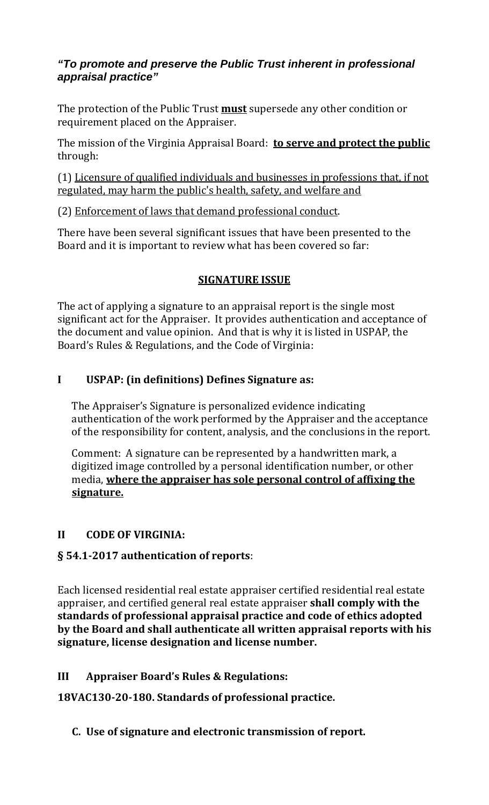## *"To promote and preserve the Public Trust inherent in professional appraisal practice"*

The protection of the Public Trust **must** supersede any other condition or requirement placed on the Appraiser.

The mission of the Virginia Appraisal Board: **to serve and protect the public** through:

(1) Licensure of qualified individuals and businesses in professions that, if not regulated, may harm the public's health, safety, and welfare and

(2) Enforcement of laws that demand professional conduct.

There have been several significant issues that have been presented to the Board and it is important to review what has been covered so far:

## **SIGNATURE ISSUE**

The act of applying a signature to an appraisal report is the single most significant act for the Appraiser. It provides authentication and acceptance of the document and value opinion. And that is why it is listed in USPAP, the Board's Rules & Regulations, and the Code of Virginia:

## **I USPAP: (in definitions) Defines Signature as:**

The Appraiser's Signature is personalized evidence indicating authentication of the work performed by the Appraiser and the acceptance of the responsibility for content, analysis, and the conclusions in the report.

Comment: A signature can be represented by a handwritten mark, a digitized image controlled by a personal identification number, or other media, **where the appraiser has sole personal control of affixing the signature.**

## **II CODE OF VIRGINIA:**

# **§ 54.12017 authentication of reports**:

Each licensed residential real estate appraiser certified residential real estate appraiser, and certified general real estate appraiser **shall comply with the standards of professional appraisal practice and code of ethics adopted by the Board and shall authenticate all written appraisal reports with his signature, license designation and license number.**

**III Appraiser Board's Rules & Regulations:**

**18VAC13020180. Standards of professional practice.**

**C. Use of signature and electronic transmission of report.**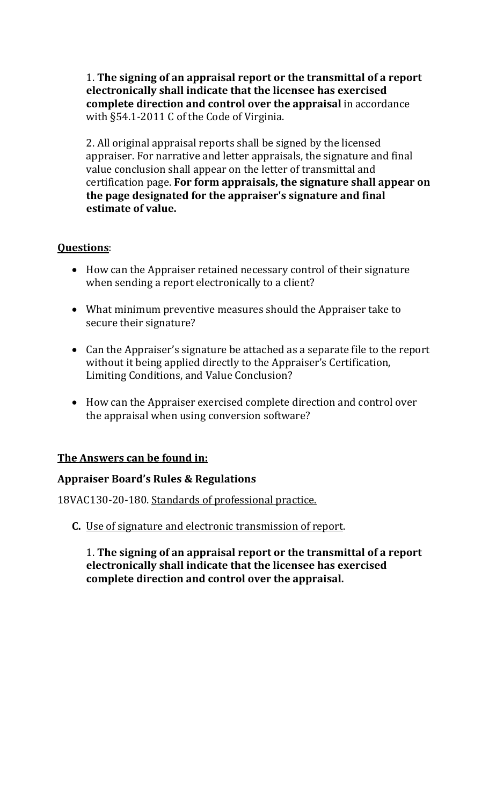1. **The signing of an appraisal report or the transmittal of a report electronically shall indicate that the licensee has exercised complete direction and control over the appraisal** in accordance with §54.1‐2011 C of the Code of Virginia.

2. All original appraisal reports shall be signed by the licensed appraiser. For narrative and letter appraisals, the signature and final value conclusion shall appear on the letter of transmittal and certification page. **For form appraisals, the signature shall appear on the page designated for the appraiser's signature and final estimate of value.**

### **Questions**:

- How can the Appraiser retained necessary control of their signature when sending a report electronically to a client?
- What minimum preventive measures should the Appraiser take to secure their signature?
- Can the Appraiser's signature be attached as a separate file to the report without it being applied directly to the Appraiser's Certification, Limiting Conditions, and Value Conclusion?
- How can the Appraiser exercised complete direction and control over the appraisal when using conversion software?

### **The Answers can be found in:**

### **Appraiser Board's Rules & Regulations**

18VAC130-20-180. Standards of professional practice.

**C.** Use of signature and electronic transmission of report.

1. **The signing of an appraisal report or the transmittal of a report electronically shall indicate that the licensee has exercised complete direction and control over the appraisal.**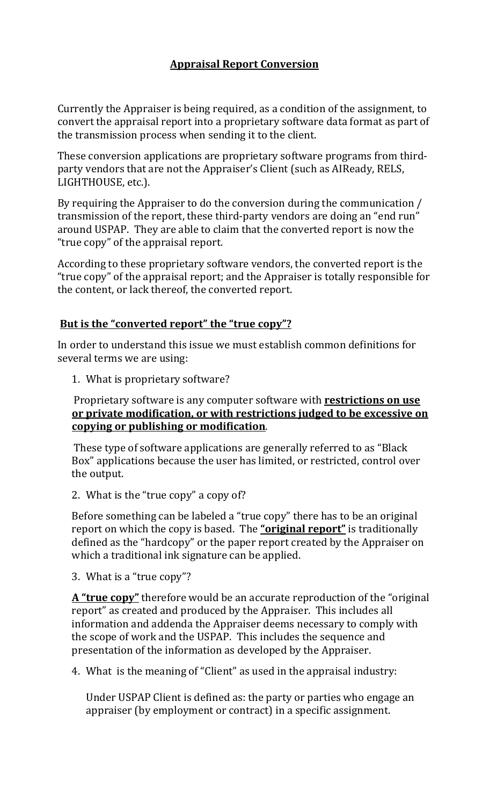### **Appraisal Report Conversion**

Currently the Appraiser is being required, as a condition of the assignment, to convert the appraisal report into a proprietary software data format as part of the transmission process when sending it to the client.

These conversion applications are proprietary software programs from third‐ party vendors that are not the Appraiser's Client (such as AIReady, RELS, LIGHTHOUSE, etc.).

By requiring the Appraiser to do the conversion during the communication / transmission of the report, these third‐party vendors are doing an "end run" around USPAP. They are able to claim that the converted report is now the "true copy" of the appraisal report.

According to these proprietary software vendors, the converted report is the "true copy" of the appraisal report; and the Appraiser is totally responsible for the content, or lack thereof, the converted report.

### **But is the "converted report" the "true copy"?**

In order to understand this issue we must establish common definitions for several terms we are using:

1. What is proprietary software?

#### Proprietary software is any computer software with **restrictions on use or private modification, or with restrictions judged to be excessive on copying or publishing or modification**.

These type of software applications are generally referred to as "Black Box" applications because the user has limited, or restricted, control over the output.

2. What is the "true copy" a copy of?

Before something can be labeled a "true copy" there has to be an original report on which the copy is based. The **"original report"** is traditionally defined as the "hardcopy" or the paper report created by the Appraiser on which a traditional ink signature can be applied.

3. What is a "true copy"?

**A "true copy"** therefore would be an accurate reproduction of the "original report" as created and produced by the Appraiser. This includes all information and addenda the Appraiser deems necessary to comply with the scope of work and the USPAP. This includes the sequence and presentation of the information as developed by the Appraiser.

4. What is the meaning of "Client" as used in the appraisal industry:

Under USPAP Client is defined as: the party or parties who engage an appraiser (by employment or contract) in a specific assignment.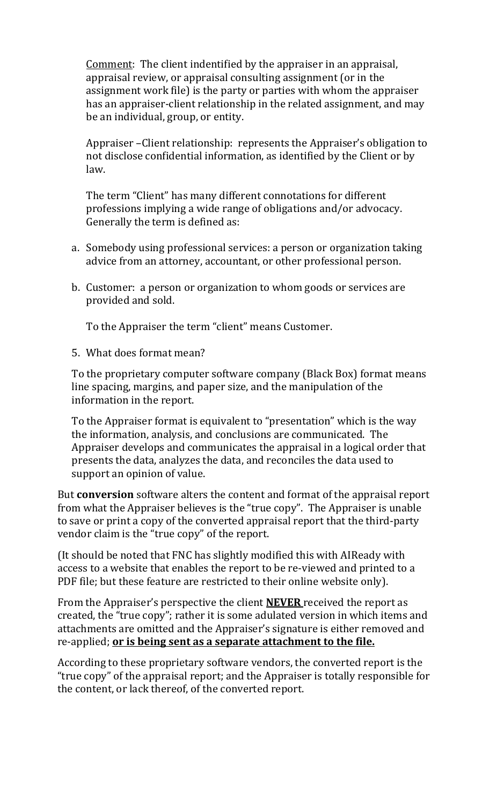Comment: The client indentified by the appraiser in an appraisal, appraisal review, or appraisal consulting assignment (or in the assignment work file) is the party or parties with whom the appraiser has an appraiser-client relationship in the related assignment, and may be an individual, group, or entity.

Appraiser –Client relationship: represents the Appraiser's obligation to not disclose confidential information, as identified by the Client or by law.

The term "Client" has many different connotations for different professions implying a wide range of obligations and/or advocacy. Generally the term is defined as:

- a. Somebody using professional services: a person or organization taking advice from an attorney, accountant, or other professional person.
- b. Customer: a person or organization to whom goods or services are provided and sold.

To the Appraiser the term "client" means Customer.

5. What does format mean?

To the proprietary computer software company (Black Box) format means line spacing, margins, and paper size, and the manipulation of the information in the report.

To the Appraiser format is equivalent to "presentation" which is the way the information, analysis, and conclusions are communicated. The Appraiser develops and communicates the appraisal in a logical order that presents the data, analyzes the data, and reconciles the data used to support an opinion of value.

But **conversion** software alters the content and format of the appraisal report from what the Appraiser believes is the "true copy". The Appraiser is unable to save or print a copy of the converted appraisal report that the third‐party vendor claim is the "true copy" of the report.

(It should be noted that FNC has slightly modified this with AIReady with access to a website that enables the report to be re‐viewed and printed to a PDF file; but these feature are restricted to their online website only).

From the Appraiser's perspective the client **NEVER** received the report as created, the "true copy"; rather it is some adulated version in which items and attachments are omitted and the Appraiser's signature is either removed and re‐applied; **or is being sent as a separate attachment to the file.**

According to these proprietary software vendors, the converted report is the "true copy" of the appraisal report; and the Appraiser is totally responsible for the content, or lack thereof, of the converted report.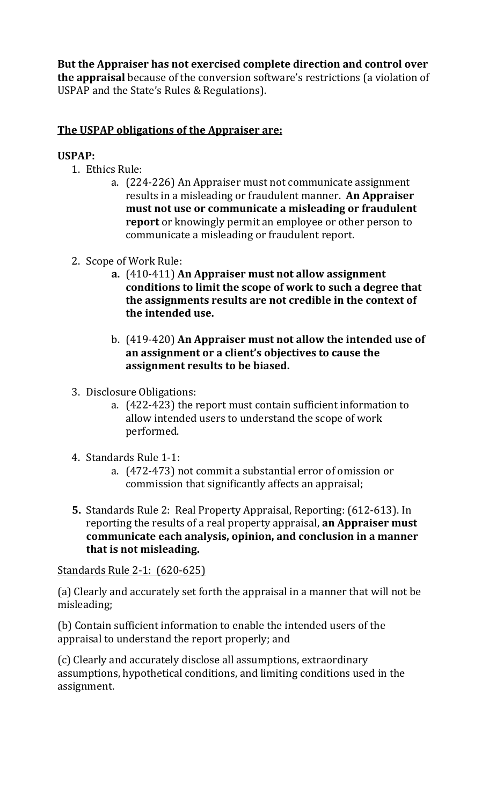**But the Appraiser has not exercised complete direction and control over the appraisal** because of the conversion software's restrictions (a violation of USPAP and the State's Rules & Regulations).

## **The USPAP obligations of the Appraiser are:**

#### **USPAP:**

- 1. Ethics Rule:
	- a. (224‐226) An Appraiser must not communicate assignment results in a misleading or fraudulent manner. **An Appraiser must not use or communicate a misleading or fraudulent report** or knowingly permit an employee or other person to communicate a misleading or fraudulent report.
- 2. Scope of Work Rule:
	- **a.** (410‐411) **An Appraiser must not allow assignment conditions to limit the scope of work to such a degree that the assignments results are not credible in the context of the intended use.**
	- b. (419‐420) **An Appraiser must not allow the intended use of an assignment or a client's objectives to cause the assignment results to be biased.**
- 3. Disclosure Obligations:
	- a. (422‐423) the report must contain sufficient information to allow intended users to understand the scope of work performed.
- 4. Standards Rule 1‐1:
	- a. (472‐473) not commit a substantial error of omission or commission that significantly affects an appraisal;
- **5.** Standards Rule 2: Real Property Appraisal, Reporting: (612‐613). In reporting the results of a real property appraisal, **an Appraiser must communicate each analysis, opinion, and conclusion in a manner that is not misleading.**

#### Standards Rule 2‐1: (620‐625)

(a) Clearly and accurately set forth the appraisal in a manner that will not be misleading;

(b) Contain sufficient information to enable the intended users of the appraisal to understand the report properly; and

(c) Clearly and accurately disclose all assumptions, extraordinary assumptions, hypothetical conditions, and limiting conditions used in the assignment.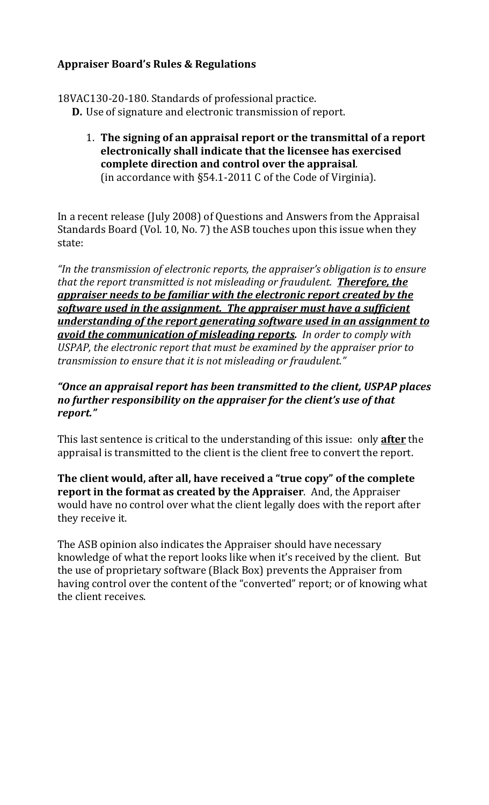### **Appraiser Board's Rules & Regulations**

18VAC130‐20‐180. Standards of professional practice.

- **D.** Use of signature and electronic transmission of report.
	- 1. **The signing of an appraisal report or the transmittal of a report electronically shall indicate that the licensee has exercised complete direction and control over the appraisal**. (in accordance with §54.1‐2011 C of the Code of Virginia).

In a recent release (July 2008) of Questions and Answers from the Appraisal Standards Board (Vol. 10, No. 7) the ASB touches upon this issue when they state:

*"In the transmission of electronic reports, the appraiser's obligation is to ensure that the report transmitted is not misleading or fraudulent. Therefore, the appraiser needs to be familiar with the electronic report created by the software used in the assignment. The appraiser must have a sufficient understanding of the report generating software used in an assignment to avoid the communication of misleading reports. In order to comply with USPAP, the electronic report that must be examined by the appraiser prior to transmission to ensure that it is not misleading or fraudulent."*

### *"Once an appraisal report has been transmitted to the client, USPAP places no further responsibility on the appraiser for the client's use of that report."*

This last sentence is critical to the understanding of this issue: only **after** the appraisal is transmitted to the client is the client free to convert the report.

**The client would, after all, have received a "true copy" of the complete report in the format as created by the Appraiser**. And, the Appraiser would have no control over what the client legally does with the report after they receive it.

The ASB opinion also indicates the Appraiser should have necessary knowledge of what the report looks like when it's received by the client. But the use of proprietary software (Black Box) prevents the Appraiser from having control over the content of the "converted" report; or of knowing what the client receives.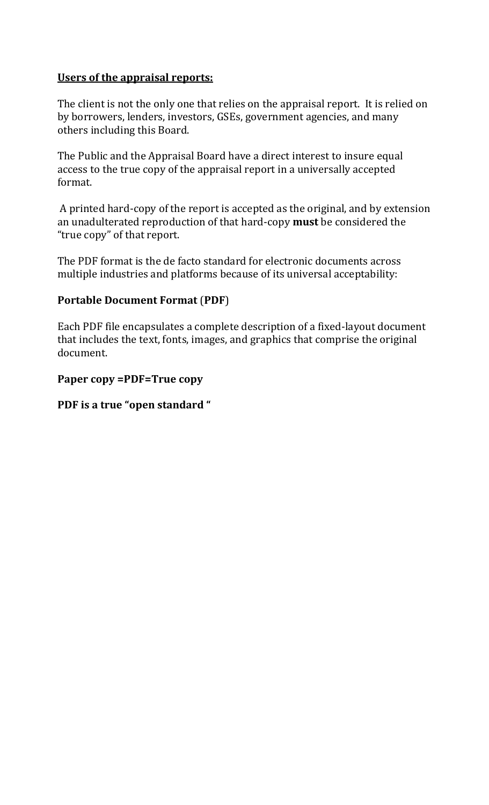### **Users of the appraisal reports:**

The client is not the only one that relies on the appraisal report. It is relied on by borrowers, lenders, investors, GSEs, government agencies, and many others including this Board.

The Public and the Appraisal Board have a direct interest to insure equal access to the true copy of the appraisal report in a universally accepted format.

 A printed hard‐copy of the report is accepted as the original, and by extension an unadulterated reproduction of that hard‐copy **must** be considered the "true copy" of that report.

The PDF format is the de facto standard for electronic documents across multiple industries and platforms because of its universal acceptability:

### **Portable Document Format** (**PDF**)

Each PDF file encapsulates a complete description of a fixed‐layout document that includes the text, fonts, images, and graphics that comprise the original document.

#### **Paper copy =PDF=True copy**

### **PDF is a true "open standard "**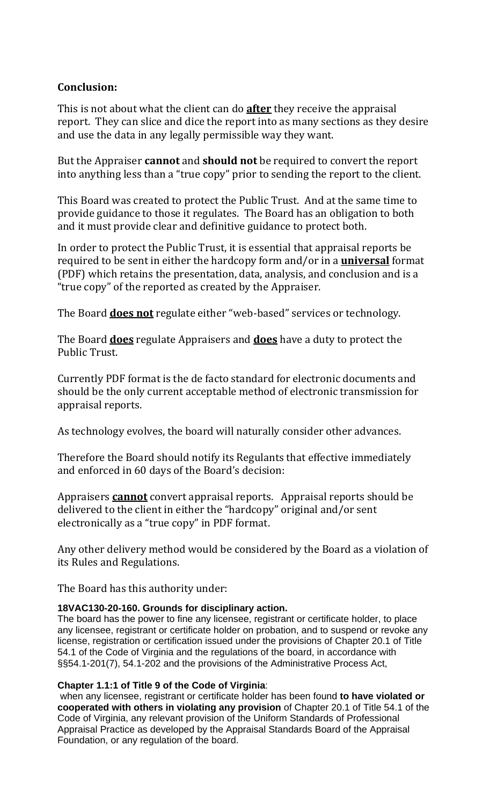### **Conclusion:**

This is not about what the client can do **after** they receive the appraisal report. They can slice and dice the report into as many sections as they desire and use the data in any legally permissible way they want.

But the Appraiser **cannot** and **should not** be required to convert the report into anything less than a "true copy" prior to sending the report to the client.

This Board was created to protect the Public Trust. And at the same time to provide guidance to those it regulates. The Board has an obligation to both and it must provide clear and definitive guidance to protect both.

In order to protect the Public Trust, it is essential that appraisal reports be required to be sent in either the hardcopy form and/or in a **universal** format (PDF) which retains the presentation, data, analysis, and conclusion and is a "true copy" of the reported as created by the Appraiser.

The Board **does not** regulate either "web‐based" services or technology.

The Board **does** regulate Appraisers and **does** have a duty to protect the Public Trust.

Currently PDF format is the de facto standard for electronic documents and should be the only current acceptable method of electronic transmission for appraisal reports.

As technology evolves, the board will naturally consider other advances.

Therefore the Board should notify its Regulants that effective immediately and enforced in 60 days of the Board's decision:

Appraisers **cannot** convert appraisal reports. Appraisal reports should be delivered to the client in either the "hardcopy" original and/or sent electronically as a "true copy" in PDF format.

Any other delivery method would be considered by the Board as a violation of its Rules and Regulations.

The Board has this authority under:

#### **18VAC130-20-160. Grounds for disciplinary action.**

The board has the power to fine any licensee, registrant or certificate holder, to place any licensee, registrant or certificate holder on probation, and to suspend or revoke any license, registration or certification issued under the provisions of Chapter 20.1 of Title 54.1 of the Code of Virginia and the regulations of the board, in accordance with §§54.1-201(7), 54.1-202 and the provisions of the Administrative Process Act,

#### **Chapter 1.1:1 of Title 9 of the Code of Virginia**:

 when any licensee, registrant or certificate holder has been found **to have violated or cooperated with others in violating any provision** of Chapter 20.1 of Title 54.1 of the Code of Virginia, any relevant provision of the Uniform Standards of Professional Appraisal Practice as developed by the Appraisal Standards Board of the Appraisal Foundation, or any regulation of the board.